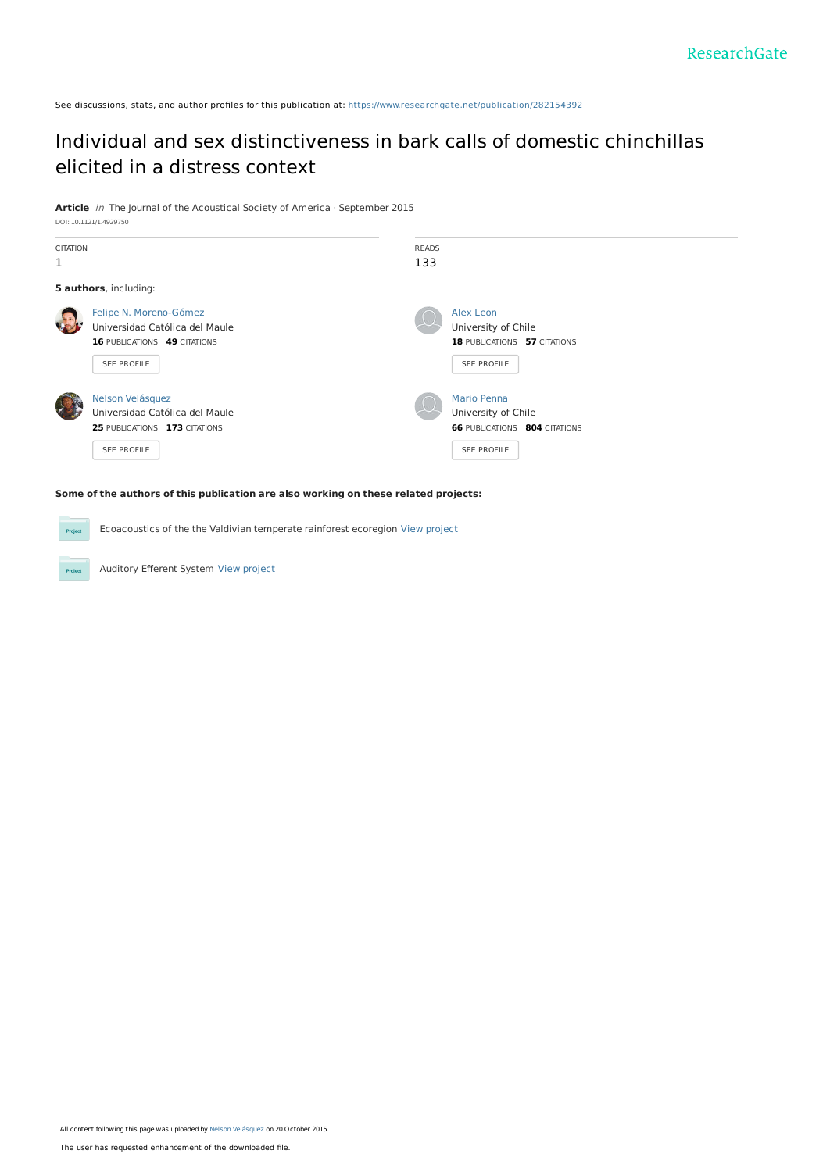See discussions, stats, and author profiles for this publication at: [https://www.researchgate.net/publication/282154392](https://www.researchgate.net/publication/282154392_Individual_and_sex_distinctiveness_in_bark_calls_of_domestic_chinchillas_elicited_in_a_distress_context?enrichId=rgreq-b454682e5628a1323c33b2e2a5d2b081-XXX&enrichSource=Y292ZXJQYWdlOzI4MjE1NDM5MjtBUzoyODY0NjM1NDAzODM3NDRAMTQ0NTMwOTYzODI3Ng%3D%3D&el=1_x_2&_esc=publicationCoverPdf)

# Individual and sex [distinctiveness](https://www.researchgate.net/publication/282154392_Individual_and_sex_distinctiveness_in_bark_calls_of_domestic_chinchillas_elicited_in_a_distress_context?enrichId=rgreq-b454682e5628a1323c33b2e2a5d2b081-XXX&enrichSource=Y292ZXJQYWdlOzI4MjE1NDM5MjtBUzoyODY0NjM1NDAzODM3NDRAMTQ0NTMwOTYzODI3Ng%3D%3D&el=1_x_3&_esc=publicationCoverPdf) in bark calls of domestic chinchillas elicited in a distress context

**Article** in The Journal of the Acoustical Society of America · September 2015 DOI: 10.1121/1.4929750

| <b>CITATION</b><br>1 |                                                                                                         | <b>READS</b><br>133 |                                                                                           |
|----------------------|---------------------------------------------------------------------------------------------------------|---------------------|-------------------------------------------------------------------------------------------|
|                      | 5 authors, including:                                                                                   |                     |                                                                                           |
|                      | Felipe N. Moreno-Gómez<br>Universidad Católica del Maule<br>16 PUBLICATIONS 49 CITATIONS<br>SEE PROFILE |                     | Alex Leon<br>University of Chile<br>18 PUBLICATIONS 57 CITATIONS<br>SEE PROFILE           |
|                      | Nelson Velásquez<br>Universidad Católica del Maule<br>25 PUBLICATIONS 173 CITATIONS<br>SEE PROFILE      |                     | Mario Penna<br>University of Chile<br><b>66 PUBLICATIONS 804 CITATIONS</b><br>SEE PROFILE |

**Some of the authors of this publication are also working on these related projects:**

Ecoacoustics of the the Valdivian temperate rainforest ecoregion View [project](https://www.researchgate.net/project/Ecoacoustics-of-the-the-Valdivian-temperate-rainforest-ecoregion?enrichId=rgreq-b454682e5628a1323c33b2e2a5d2b081-XXX&enrichSource=Y292ZXJQYWdlOzI4MjE1NDM5MjtBUzoyODY0NjM1NDAzODM3NDRAMTQ0NTMwOTYzODI3Ng%3D%3D&el=1_x_9&_esc=publicationCoverPdf) **Project** 

Auditory Efferent System View [project](https://www.researchgate.net/project/Auditory-Efferent-System?enrichId=rgreq-b454682e5628a1323c33b2e2a5d2b081-XXX&enrichSource=Y292ZXJQYWdlOzI4MjE1NDM5MjtBUzoyODY0NjM1NDAzODM3NDRAMTQ0NTMwOTYzODI3Ng%3D%3D&el=1_x_9&_esc=publicationCoverPdf) **Project**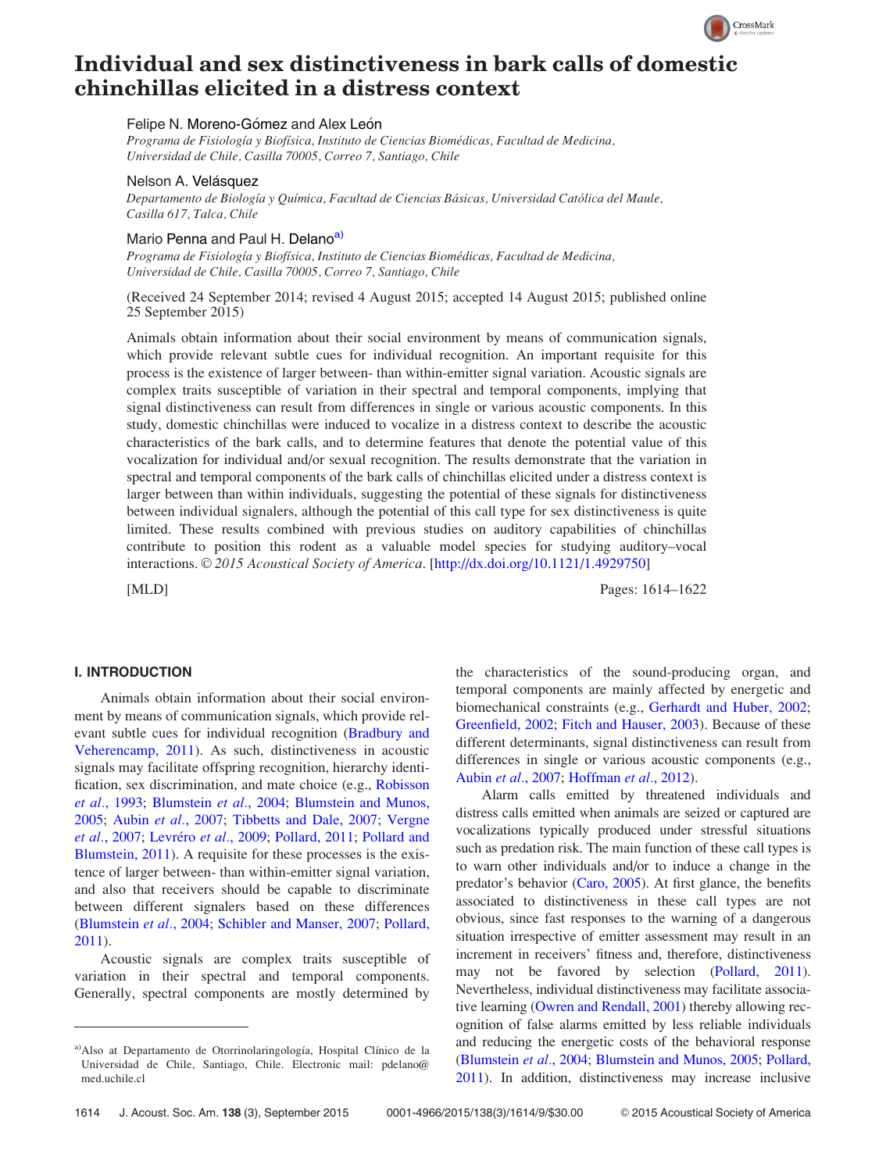

# Individual and sex distinctiveness in bark calls of domestic chinchillas elicited in a distress context

# Felipe N. Moreno-Gómez and Alex León

Programa de Fisiología y Biofísica, Instituto de Ciencias Biomédicas, Facultad de Medicina, Universidad de Chile, Casilla 70005, Correo 7, Santiago, Chile

# Nelson A. Velásquez

Departamento de Biología y Química, Facultad de Ciencias Básicas, Universidad Católica del Maule, Casilla 617, Talca, Chile

#### Mario Penna and Paul H. Delano<sup>a)</sup>

Programa de Fisiología y Biofísica, Instituto de Ciencias Biomédicas, Facultad de Medicina, Universidad de Chile, Casilla 70005, Correo 7, Santiago, Chile

(Received 24 September 2014; revised 4 August 2015; accepted 14 August 2015; published online 25 September 2015)

Animals obtain information about their social environment by means of communication signals, which provide relevant subtle cues for individual recognition. An important requisite for this process is the existence of larger between- than within-emitter signal variation. Acoustic signals are complex traits susceptible of variation in their spectral and temporal components, implying that signal distinctiveness can result from differences in single or various acoustic components. In this study, domestic chinchillas were induced to vocalize in a distress context to describe the acoustic characteristics of the bark calls, and to determine features that denote the potential value of this vocalization for individual and/or sexual recognition. The results demonstrate that the variation in spectral and temporal components of the bark calls of chinchillas elicited under a distress context is larger between than within individuals, suggesting the potential of these signals for distinctiveness between individual signalers, although the potential of this call type for sex distinctiveness is quite limited. These results combined with previous studies on auditory capabilities of chinchillas contribute to position this rodent as a valuable model species for studying auditory–vocal interactions. © 2015 Acoustical Society of America. [\[http://dx.doi.org/10.1121/1.4929750](http://dx.doi.org/10.1121/1.4929750)]

[MLD] Pages: 1614–1622

# I. INTRODUCTION

Animals obtain information about their social environment by means of communication signals, which provide relevant subtle cues for individual recognition ([Bradbury and](#page-8-0) [Veherencamp, 2011\)](#page-8-0). As such, distinctiveness in acoustic signals may facilitate offspring recognition, hierarchy identification, sex discrimination, and mate choice (e.g., [Robisson](#page-9-0) et al.[, 1993;](#page-9-0) [Blumstein](#page-8-0) et al., 2004; [Blumstein and Munos,](#page-8-0) [2005;](#page-8-0) Aubin et al.[, 2007](#page-8-0); [Tibbetts and Dale, 2007;](#page-9-0) [Vergne](#page-9-0) et al.[, 2007;](#page-9-0) [Levr](#page-9-0)éro et al.[, 2009](#page-9-0); [Pollard, 2011;](#page-9-0) [Pollard and](#page-9-0) [Blumstein, 2011](#page-9-0)). A requisite for these processes is the existence of larger between- than within-emitter signal variation, and also that receivers should be capable to discriminate between different signalers based on these differences ([Blumstein](#page-8-0) et al., 2004; [Schibler and Manser, 2007;](#page-9-0) [Pollard,](#page-9-0) [2011\)](#page-9-0).

Acoustic signals are complex traits susceptible of variation in their spectral and temporal components. Generally, spectral components are mostly determined by

the characteristics of the sound-producing organ, and temporal components are mainly affected by energetic and biomechanical constraints (e.g., [Gerhardt and Huber, 2002;](#page-9-0) [Greenfield, 2002;](#page-9-0) [Fitch and Hauser, 2003](#page-9-0)). Because of these different determinants, signal distinctiveness can result from differences in single or various acoustic components (e.g., Aubin et al.[, 2007;](#page-8-0) [Hoffman](#page-9-0) et al., 2012).

Alarm calls emitted by threatened individuals and distress calls emitted when animals are seized or captured are vocalizations typically produced under stressful situations such as predation risk. The main function of these call types is to warn other individuals and/or to induce a change in the predator's behavior ([Caro, 2005](#page-8-0)). At first glance, the benefits associated to distinctiveness in these call types are not obvious, since fast responses to the warning of a dangerous situation irrespective of emitter assessment may result in an increment in receivers' fitness and, therefore, distinctiveness may not be favored by selection [\(Pollard, 2011\)](#page-9-0). Nevertheless, individual distinctiveness may facilitate associative learning [\(Owren and Rendall, 2001\)](#page-9-0) thereby allowing recognition of false alarms emitted by less reliable individuals and reducing the energetic costs of the behavioral response [\(Blumstein](#page-8-0) et al., 2004; [Blumstein and Munos, 2005](#page-8-0); [Pollard,](#page-9-0) [2011\)](#page-9-0). In addition, distinctiveness may increase inclusive

a) Also at Departamento de Otorrinolaringología, Hospital Clínico de la Universidad de Chile, Santiago, Chile. Electronic mail: [pdelano@](mailto:pdelano@med.uchile.cl) [med.uchile.cl](mailto:pdelano@med.uchile.cl)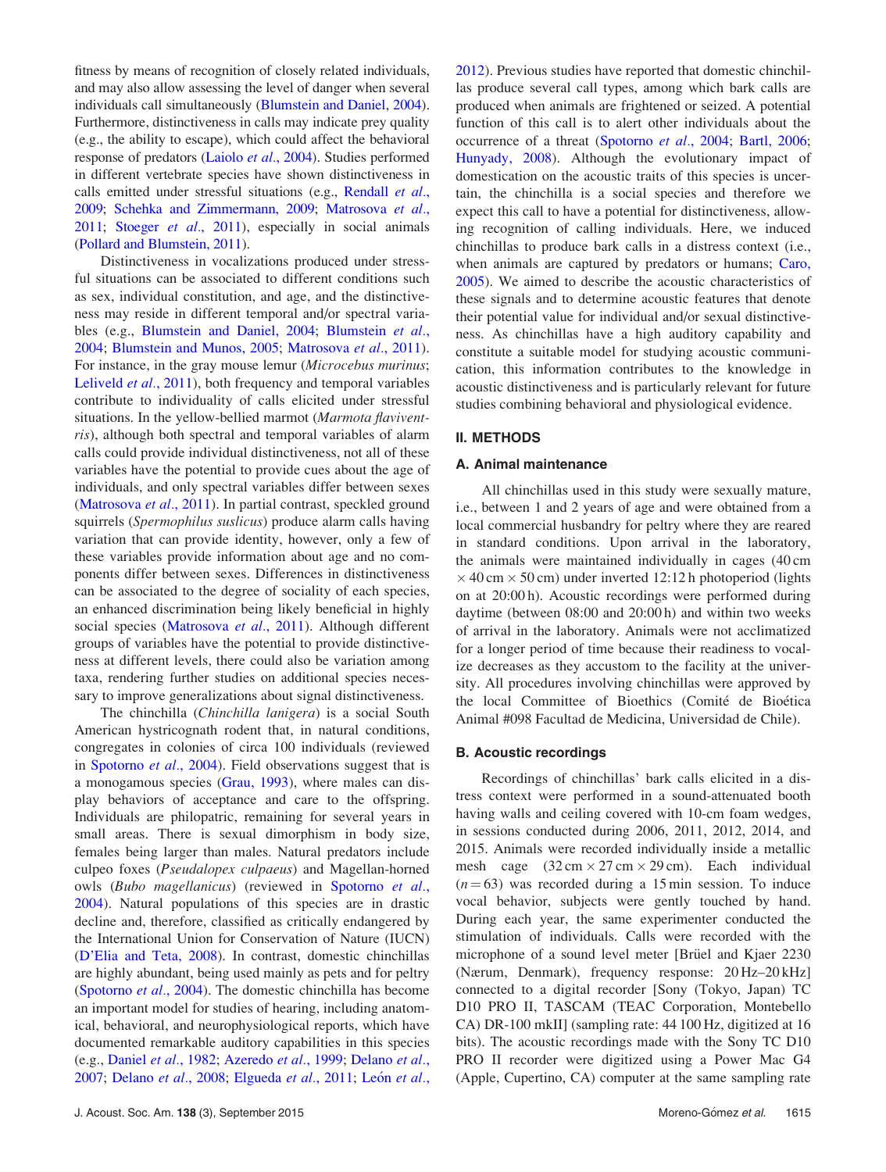fitness by means of recognition of closely related individuals, and may also allow assessing the level of danger when several individuals call simultaneously [\(Blumstein and Daniel, 2004](#page-8-0)). Furthermore, distinctiveness in calls may indicate prey quality (e.g., the ability to escape), which could affect the behavioral response of predators [\(Laiolo](#page-9-0) et al., 2004). Studies performed in different vertebrate species have shown distinctiveness in calls emitted under stressful situations (e.g., [Rendall](#page-9-0) et al., [2009](#page-9-0); [Schehka and Zimmermann, 2009](#page-9-0); [Matrosova](#page-9-0) et al., [2011](#page-9-0); [Stoeger](#page-9-0) et al., 2011), especially in social animals ([Pollard and Blumstein, 2011](#page-9-0)).

Distinctiveness in vocalizations produced under stressful situations can be associated to different conditions such as sex, individual constitution, and age, and the distinctiveness may reside in different temporal and/or spectral variables (e.g., [Blumstein and Daniel, 2004;](#page-8-0) [Blumstein](#page-8-0) et al., [2004;](#page-8-0) [Blumstein and Munos, 2005;](#page-8-0) [Matrosova](#page-9-0) et al., 2011). For instance, in the gray mouse lemur *(Microcebus murinus*; [Leliveld](#page-9-0) et al., 2011), both frequency and temporal variables contribute to individuality of calls elicited under stressful situations. In the yellow-bellied marmot (Marmota flaviventris), although both spectral and temporal variables of alarm calls could provide individual distinctiveness, not all of these variables have the potential to provide cues about the age of individuals, and only spectral variables differ between sexes ([Matrosova](#page-9-0) et al., 2011). In partial contrast, speckled ground squirrels (Spermophilus suslicus) produce alarm calls having variation that can provide identity, however, only a few of these variables provide information about age and no components differ between sexes. Differences in distinctiveness can be associated to the degree of sociality of each species, an enhanced discrimination being likely beneficial in highly social species [\(Matrosova](#page-9-0) et al., 2011). Although different groups of variables have the potential to provide distinctiveness at different levels, there could also be variation among taxa, rendering further studies on additional species necessary to improve generalizations about signal distinctiveness.

The chinchilla (Chinchilla lanigera) is a social South American hystricognath rodent that, in natural conditions, congregates in colonies of circa 100 individuals (reviewed in [Spotorno](#page-9-0) *et al.*, 2004). Field observations suggest that is a monogamous species [\(Grau, 1993\)](#page-9-0), where males can display behaviors of acceptance and care to the offspring. Individuals are philopatric, remaining for several years in small areas. There is sexual dimorphism in body size, females being larger than males. Natural predators include culpeo foxes (Pseudalopex culpaeus) and Magellan-horned owls (Bubo magellanicus) (reviewed in [Spotorno](#page-9-0) et al., [2004\)](#page-9-0). Natural populations of this species are in drastic decline and, therefore, classified as critically endangered by the International Union for Conservation of Nature (IUCN) ([D'Elia and Teta, 2008](#page-8-0)). In contrast, domestic chinchillas are highly abundant, being used mainly as pets and for peltry ([Spotorno](#page-9-0) et al., 2004). The domestic chinchilla has become an important model for studies of hearing, including anatomical, behavioral, and neurophysiological reports, which have documented remarkable auditory capabilities in this species (e.g., [Daniel](#page-8-0) et al., 1982; [Azeredo](#page-8-0) et al., 1999; [Delano](#page-8-0) et al., [2007;](#page-8-0) [Delano](#page-8-0) et al., 2008; [Elgueda](#page-9-0) et al., 2011; [Le](#page-9-0)ón [et al.](#page-9-0),

[2012\)](#page-9-0). Previous studies have reported that domestic chinchillas produce several call types, among which bark calls are produced when animals are frightened or seized. A potential function of this call is to alert other individuals about the occurrence of a threat ([Spotorno](#page-9-0) et al., 2004; [Bartl, 2006;](#page-8-0) [Hunyady, 2008](#page-9-0)). Although the evolutionary impact of domestication on the acoustic traits of this species is uncertain, the chinchilla is a social species and therefore we expect this call to have a potential for distinctiveness, allowing recognition of calling individuals. Here, we induced chinchillas to produce bark calls in a distress context (i.e., when animals are captured by predators or humans; [Caro,](#page-8-0) [2005\)](#page-8-0). We aimed to describe the acoustic characteristics of these signals and to determine acoustic features that denote their potential value for individual and/or sexual distinctiveness. As chinchillas have a high auditory capability and constitute a suitable model for studying acoustic communication, this information contributes to the knowledge in acoustic distinctiveness and is particularly relevant for future studies combining behavioral and physiological evidence.

# II. METHODS

#### A. Animal maintenance

All chinchillas used in this study were sexually mature, i.e., between 1 and 2 years of age and were obtained from a local commercial husbandry for peltry where they are reared in standard conditions. Upon arrival in the laboratory, the animals were maintained individually in cages (40 cm  $\times$  40 cm  $\times$  50 cm) under inverted 12:12 h photoperiod (lights on at 20:00 h). Acoustic recordings were performed during daytime (between 08:00 and 20:00 h) and within two weeks of arrival in the laboratory. Animals were not acclimatized for a longer period of time because their readiness to vocalize decreases as they accustom to the facility at the university. All procedures involving chinchillas were approved by the local Committee of Bioethics (Comité de Bioética Animal #098 Facultad de Medicina, Universidad de Chile).

#### B. Acoustic recordings

Recordings of chinchillas' bark calls elicited in a distress context were performed in a sound-attenuated booth having walls and ceiling covered with 10-cm foam wedges, in sessions conducted during 2006, 2011, 2012, 2014, and 2015. Animals were recorded individually inside a metallic mesh cage  $(32 \text{ cm} \times 27 \text{ cm} \times 29 \text{ cm})$ . Each individual  $(n = 63)$  was recorded during a 15 min session. To induce vocal behavior, subjects were gently touched by hand. During each year, the same experimenter conducted the stimulation of individuals. Calls were recorded with the microphone of a sound level meter [Brüel and Kjaer 2230 (Nærum, Denmark), frequency response: 20 Hz–20 kHz] connected to a digital recorder [Sony (Tokyo, Japan) TC D10 PRO II, TASCAM (TEAC Corporation, Montebello CA) DR-100 mkII] (sampling rate: 44 100 Hz, digitized at 16 bits). The acoustic recordings made with the Sony TC D10 PRO II recorder were digitized using a Power Mac G4 (Apple, Cupertino, CA) computer at the same sampling rate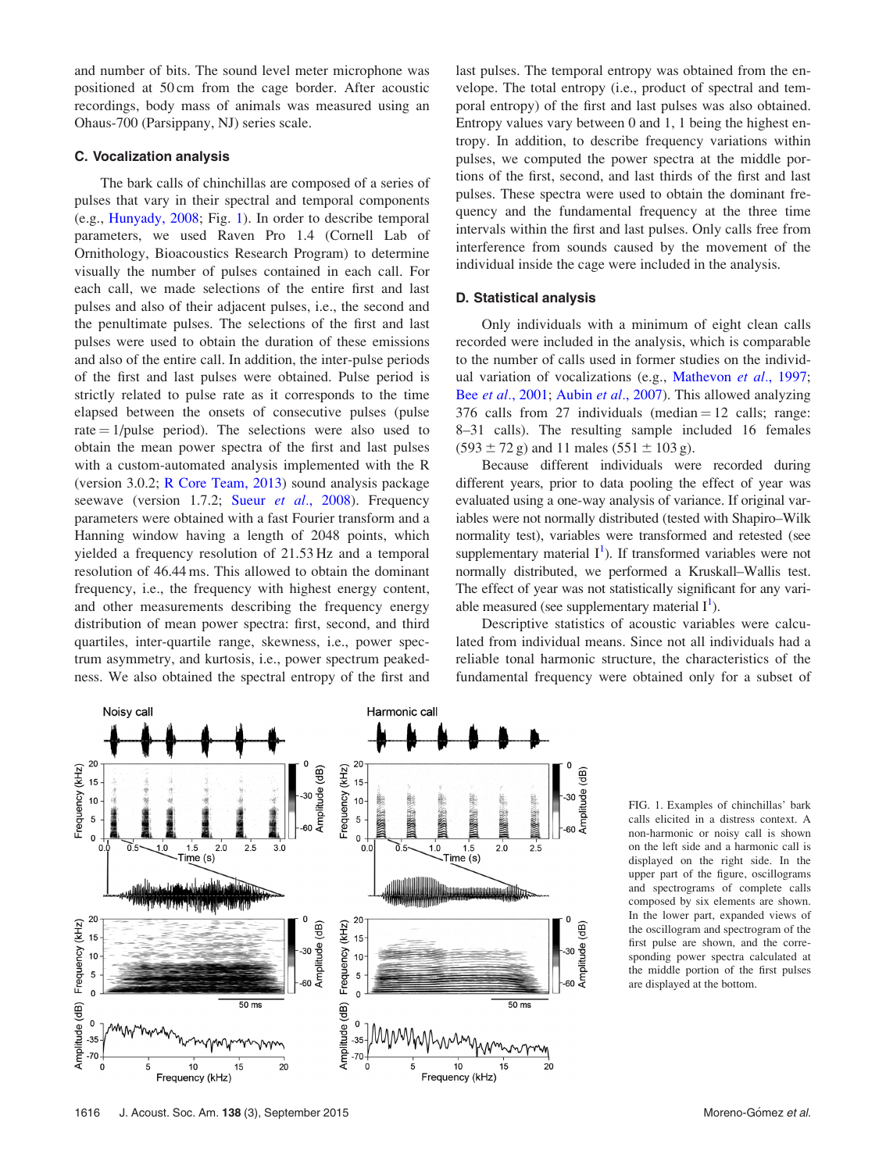<span id="page-3-0"></span>and number of bits. The sound level meter microphone was positioned at 50 cm from the cage border. After acoustic recordings, body mass of animals was measured using an Ohaus-700 (Parsippany, NJ) series scale.

#### C. Vocalization analysis

The bark calls of chinchillas are composed of a series of pulses that vary in their spectral and temporal components (e.g., [Hunyady, 2008;](#page-9-0) Fig. 1). In order to describe temporal parameters, we used Raven Pro 1.4 (Cornell Lab of Ornithology, Bioacoustics Research Program) to determine visually the number of pulses contained in each call. For each call, we made selections of the entire first and last pulses and also of their adjacent pulses, i.e., the second and the penultimate pulses. The selections of the first and last pulses were used to obtain the duration of these emissions and also of the entire call. In addition, the inter-pulse periods of the first and last pulses were obtained. Pulse period is strictly related to pulse rate as it corresponds to the time elapsed between the onsets of consecutive pulses (pulse rate  $= 1$ /pulse period). The selections were also used to obtain the mean power spectra of the first and last pulses with a custom-automated analysis implemented with the R (version 3.0.2; [R Core Team, 2013\)](#page-9-0) sound analysis package seewave (version 1.7.2; Sueur et al.[, 2008\)](#page-9-0). Frequency parameters were obtained with a fast Fourier transform and a Hanning window having a length of 2048 points, which yielded a frequency resolution of 21.53 Hz and a temporal resolution of 46.44 ms. This allowed to obtain the dominant frequency, i.e., the frequency with highest energy content, and other measurements describing the frequency energy distribution of mean power spectra: first, second, and third quartiles, inter-quartile range, skewness, i.e., power spectrum asymmetry, and kurtosis, i.e., power spectrum peakedness. We also obtained the spectral entropy of the first and

last pulses. The temporal entropy was obtained from the envelope. The total entropy (i.e., product of spectral and temporal entropy) of the first and last pulses was also obtained. Entropy values vary between 0 and 1, 1 being the highest entropy. In addition, to describe frequency variations within pulses, we computed the power spectra at the middle portions of the first, second, and last thirds of the first and last pulses. These spectra were used to obtain the dominant frequency and the fundamental frequency at the three time intervals within the first and last pulses. Only calls free from interference from sounds caused by the movement of the individual inside the cage were included in the analysis.

#### D. Statistical analysis

Only individuals with a minimum of eight clean calls recorded were included in the analysis, which is comparable to the number of calls used in former studies on the individ-ual variation of vocalizations (e.g., [Mathevon](#page-9-0) et al., 1997; Bee *et al.*[, 2001;](#page-8-0) Aubin *et al.*[, 2007\)](#page-8-0). This allowed analyzing 376 calls from 27 individuals (median  $= 12$  calls; range: 8–31 calls). The resulting sample included 16 females  $(593 \pm 72 \text{ g})$  and 11 males  $(551 \pm 103 \text{ g})$ .

Because different individuals were recorded during different years, prior to data pooling the effect of year was evaluated using a one-way analysis of variance. If original variables were not normally distributed (tested with Shapiro–Wilk normality test), variables were transformed and retested (see supplementary material  $I<sup>1</sup>$ ). If transformed variables were not normally distributed, we performed a Kruskall–Wallis test. The effect of year was not statistically significant for any variable measured (see supplementary material  $I^1$  $I^1$ ).

Descriptive statistics of acoustic variables were calculated from individual means. Since not all individuals had a reliable tonal harmonic structure, the characteristics of the fundamental frequency were obtained only for a subset of



FIG. 1. Examples of chinchillas' bark calls elicited in a distress context. A non-harmonic or noisy call is shown on the left side and a harmonic call is displayed on the right side. In the upper part of the figure, oscillograms and spectrograms of complete calls composed by six elements are shown. In the lower part, expanded views of the oscillogram and spectrogram of the first pulse are shown, and the corresponding power spectra calculated at the middle portion of the first pulses are displayed at the bottom.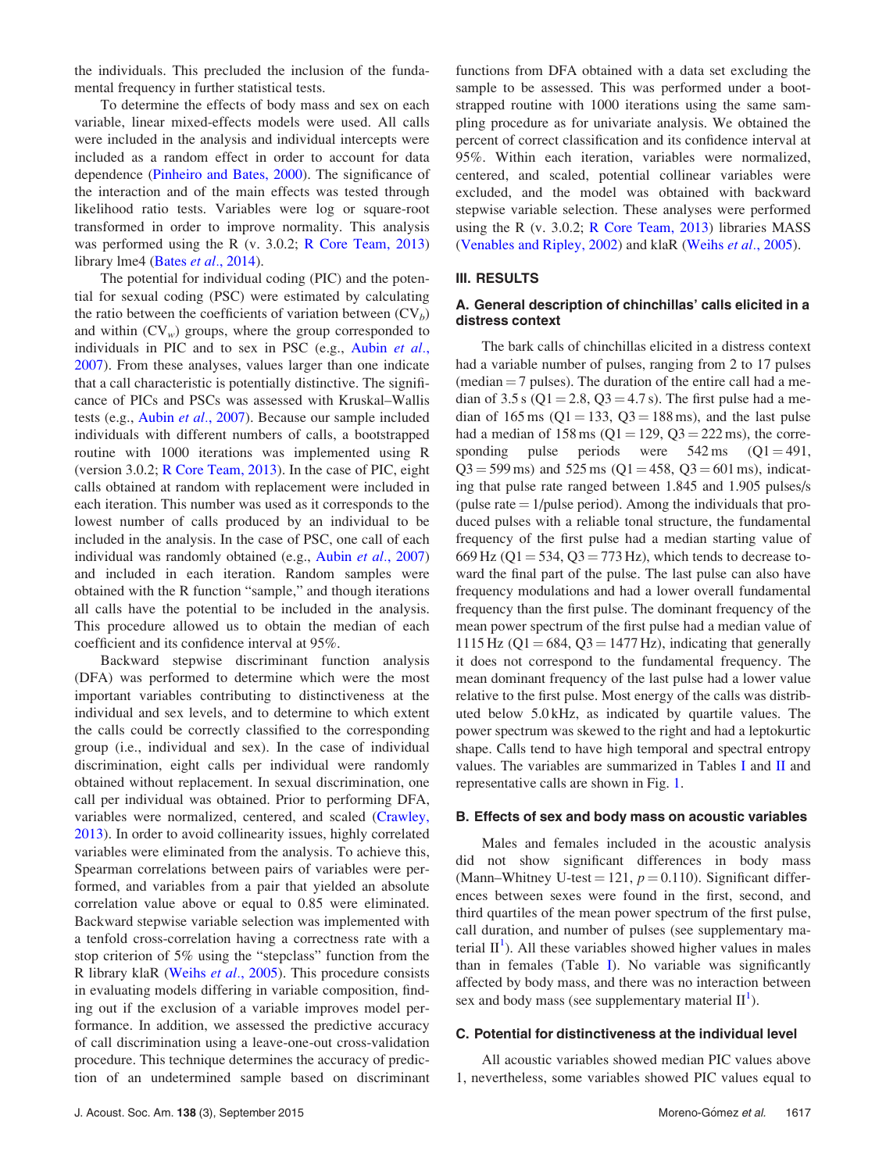the individuals. This precluded the inclusion of the fundamental frequency in further statistical tests.

To determine the effects of body mass and sex on each variable, linear mixed-effects models were used. All calls were included in the analysis and individual intercepts were included as a random effect in order to account for data dependence ([Pinheiro and Bates, 2000](#page-9-0)). The significance of the interaction and of the main effects was tested through likelihood ratio tests. Variables were log or square-root transformed in order to improve normality. This analysis was performed using the R (v. 3.0.2; [R Core Team, 2013\)](#page-9-0) library lme4 (Bates et al.[, 2014\)](#page-8-0).

The potential for individual coding (PIC) and the potential for sexual coding (PSC) were estimated by calculating the ratio between the coefficients of variation between  $(CV_b)$ and within  $(CV_w)$  groups, where the group corresponded to individuals in PIC and to sex in PSC (e.g., [Aubin](#page-8-0) et al., [2007\)](#page-8-0). From these analyses, values larger than one indicate that a call characteristic is potentially distinctive. The significance of PICs and PSCs was assessed with Kruskal–Wallis tests (e.g., Aubin et al.[, 2007\)](#page-8-0). Because our sample included individuals with different numbers of calls, a bootstrapped routine with 1000 iterations was implemented using R (version 3.0.2; [R Core Team, 2013\)](#page-9-0). In the case of PIC, eight calls obtained at random with replacement were included in each iteration. This number was used as it corresponds to the lowest number of calls produced by an individual to be included in the analysis. In the case of PSC, one call of each individual was randomly obtained (e.g., Aubin et al.[, 2007\)](#page-8-0) and included in each iteration. Random samples were obtained with the R function "sample," and though iterations all calls have the potential to be included in the analysis. This procedure allowed us to obtain the median of each coefficient and its confidence interval at 95%.

Backward stepwise discriminant function analysis (DFA) was performed to determine which were the most important variables contributing to distinctiveness at the individual and sex levels, and to determine to which extent the calls could be correctly classified to the corresponding group (i.e., individual and sex). In the case of individual discrimination, eight calls per individual were randomly obtained without replacement. In sexual discrimination, one call per individual was obtained. Prior to performing DFA, variables were normalized, centered, and scaled ([Crawley,](#page-8-0) [2013\)](#page-8-0). In order to avoid collinearity issues, highly correlated variables were eliminated from the analysis. To achieve this, Spearman correlations between pairs of variables were performed, and variables from a pair that yielded an absolute correlation value above or equal to 0.85 were eliminated. Backward stepwise variable selection was implemented with a tenfold cross-correlation having a correctness rate with a stop criterion of 5% using the "stepclass" function from the R library klaR (Weihs et al.[, 2005](#page-9-0)). This procedure consists in evaluating models differing in variable composition, finding out if the exclusion of a variable improves model performance. In addition, we assessed the predictive accuracy of call discrimination using a leave-one-out cross-validation procedure. This technique determines the accuracy of prediction of an undetermined sample based on discriminant functions from DFA obtained with a data set excluding the sample to be assessed. This was performed under a bootstrapped routine with 1000 iterations using the same sampling procedure as for univariate analysis. We obtained the percent of correct classification and its confidence interval at 95%. Within each iteration, variables were normalized, centered, and scaled, potential collinear variables were excluded, and the model was obtained with backward stepwise variable selection. These analyses were performed using the R (v. 3.0.2; [R Core Team, 2013\)](#page-9-0) libraries MASS [\(Venables and Ripley, 2002\)](#page-9-0) and klaR ([Weihs](#page-9-0) et al., 2005).

#### III. RESULTS

# A. General description of chinchillas' calls elicited in a distress context

The bark calls of chinchillas elicited in a distress context had a variable number of pulses, ranging from 2 to 17 pulses  $(median = 7$  pulses). The duration of the entire call had a median of 3.5 s ( $Q1 = 2.8$ ,  $Q3 = 4.7$  s). The first pulse had a median of 165 ms ( $Q1 = 133$ ,  $Q3 = 188$  ms), and the last pulse had a median of  $158 \text{ ms}$  (Q1 = 129, Q3 = 222 ms), the corresponding pulse periods were  $542 \text{ ms}$  (Q1 = 491,  $Q3 = 599 \text{ ms}$ ) and 525 ms ( $Q1 = 458$ ,  $Q3 = 601 \text{ ms}$ ), indicating that pulse rate ranged between 1.845 and 1.905 pulses/s (pulse rate  $= 1$ /pulse period). Among the individuals that produced pulses with a reliable tonal structure, the fundamental frequency of the first pulse had a median starting value of 669 Hz ( $Q1 = 534$ ,  $Q3 = 773$  Hz), which tends to decrease toward the final part of the pulse. The last pulse can also have frequency modulations and had a lower overall fundamental frequency than the first pulse. The dominant frequency of the mean power spectrum of the first pulse had a median value of 1115 Hz (Q1 = 684, Q3 = 1477 Hz), indicating that generally it does not correspond to the fundamental frequency. The mean dominant frequency of the last pulse had a lower value relative to the first pulse. Most energy of the calls was distributed below 5.0 kHz, as indicated by quartile values. The power spectrum was skewed to the right and had a leptokurtic shape. Calls tend to have high temporal and spectral entropy values. The variables are summarized in Tables [I](#page-5-0) and [II](#page-5-0) and representative calls are shown in Fig. [1](#page-3-0).

# B. Effects of sex and body mass on acoustic variables

Males and females included in the acoustic analysis did not show significant differences in body mass (Mann–Whitney U-test = 121,  $p = 0.110$ ). Significant differences between sexes were found in the first, second, and third quartiles of the mean power spectrum of the first pulse, call duration, and number of pulses (see supplementary material  $II<sup>1</sup>$  $II<sup>1</sup>$  $II<sup>1</sup>$ ). All these variables showed higher values in males than in females (Table [I\)](#page-5-0). No variable was significantly affected by body mass, and there was no interaction between sex and body mass (see supplementary material  $II^1$  $II^1$ ).

#### C. Potential for distinctiveness at the individual level

All acoustic variables showed median PIC values above 1, nevertheless, some variables showed PIC values equal to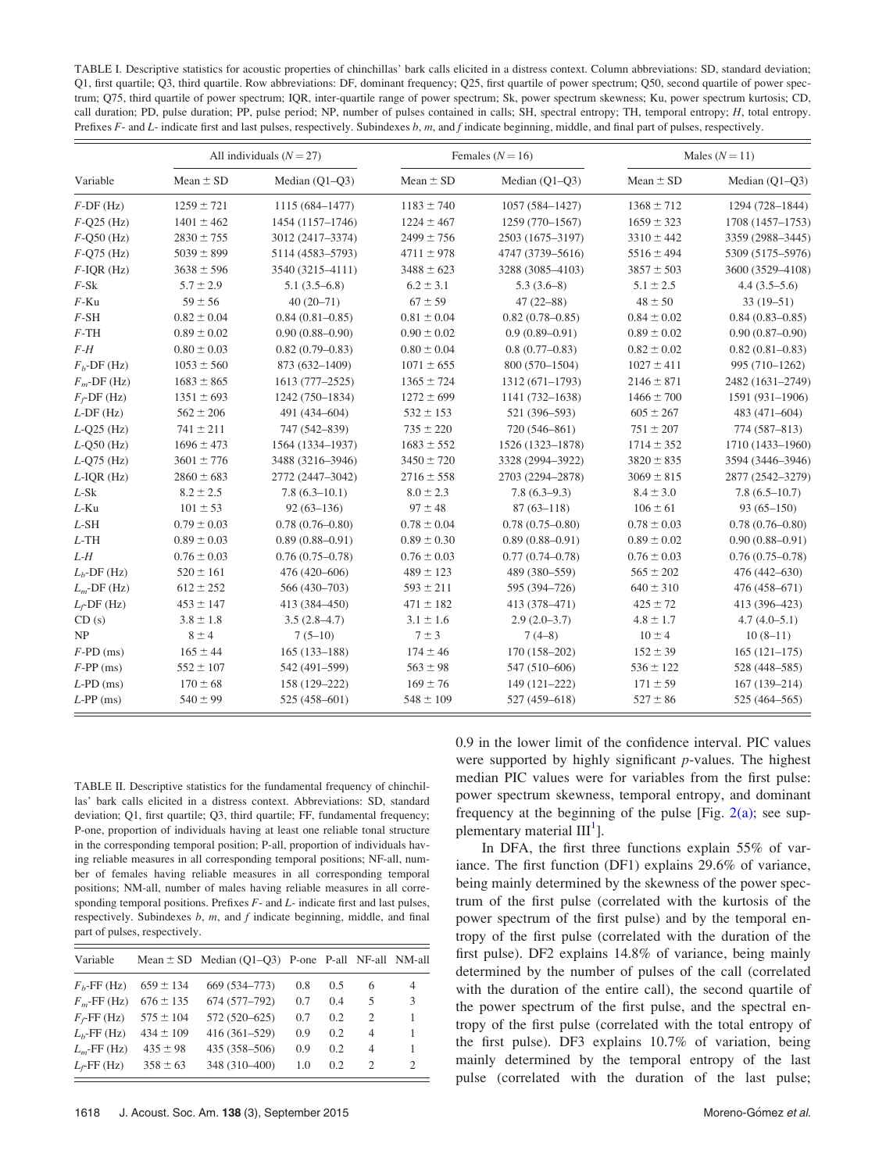<span id="page-5-0"></span>TABLE I. Descriptive statistics for acoustic properties of chinchillas' bark calls elicited in a distress context. Column abbreviations: SD, standard deviation; Q1, first quartile; Q3, third quartile. Row abbreviations: DF, dominant frequency; Q25, first quartile of power spectrum; Q50, second quartile of power spectrum; Q75, third quartile of power spectrum; IQR, inter-quartile range of power spectrum; Sk, power spectrum skewness; Ku, power spectrum kurtosis; CD, call duration; PD, pulse duration; PP, pulse period; NP, number of pulses contained in calls; SH, spectral entropy; TH, temporal entropy; H, total entropy. Prefixes F- and L- indicate first and last pulses, respectively. Subindexes b, m, and f indicate beginning, middle, and final part of pulses, respectively.

|                 | All individuals $(N = 27)$ |                     |                 | Females $(N = 16)$  | Males $(N = 11)$ |                     |  |
|-----------------|----------------------------|---------------------|-----------------|---------------------|------------------|---------------------|--|
| Variable        | Mean $\pm$ SD              | Median (Q1-Q3)      | $Mean \pm SD$   | Median $(Q1-Q3)$    | Mean $\pm$ SD    | Median (Q1-Q3)      |  |
| $F$ -DF (Hz)    | $1259 \pm 721$             | 1115 (684-1477)     | $1183 \pm 740$  | 1057 (584-1427)     | $1368 \pm 712$   | 1294 (728-1844)     |  |
| $F-Q25$ (Hz)    | $1401 \pm 462$             | 1454 (1157-1746)    | $1224 \pm 467$  | 1259 (770-1567)     | $1659 \pm 323$   | 1708 (1457-1753)    |  |
| $F$ -Q50 $(Hz)$ | $2830 \pm 755$             | 3012 (2417-3374)    | $2499 \pm 756$  | 2503 (1675-3197)    | $3310 \pm 442$   | 3359 (2988-3445)    |  |
| $F-Q75$ (Hz)    | $5039 \pm 899$             | 5114 (4583-5793)    | $4711 \pm 978$  | 4747 (3739-5616)    | $5516 \pm 494$   | 5309 (5175-5976)    |  |
| $F$ -IQR $(Hz)$ | $3638 \pm 596$             | 3540 (3215-4111)    | $3488 \pm 623$  | 3288 (3085-4103)    | $3857 \pm 503$   | 3600 (3529-4108)    |  |
| $F-Sk$          | $5.7 \pm 2.9$              | $5.1(3.5-6.8)$      | $6.2 \pm 3.1$   | $5.3(3.6-8)$        | $5.1 \pm 2.5$    | $4.4(3.5-5.6)$      |  |
| $F$ -Ku         | $59 \pm 56$                | $40(20 - 71)$       | $67 \pm 59$     | $47(22 - 88)$       | $48 \pm 50$      | $33(19-51)$         |  |
| $F$ -SH         | $0.82 \pm 0.04$            | $0.84(0.81 - 0.85)$ | $0.81 \pm 0.04$ | $0.82(0.78 - 0.85)$ | $0.84 \pm 0.02$  | $0.84(0.83 - 0.85)$ |  |
| $F$ -TH         | $0.89 \pm 0.02$            | $0.90(0.88 - 0.90)$ | $0.90 \pm 0.02$ | $0.9(0.89 - 0.91)$  | $0.89 \pm 0.02$  | $0.90(0.87-0.90)$   |  |
| $F-H$           | $0.80 \pm 0.03$            | $0.82(0.79 - 0.83)$ | $0.80 \pm 0.04$ | $0.8(0.77-0.83)$    | $0.82 \pm 0.02$  | $0.82(0.81 - 0.83)$ |  |
| $Fb$ -DF (Hz)   | $1053 \pm 560$             | 873 (632-1409)      | $1071 \pm 655$  | 800 (570-1504)      | $1027 \pm 411$   | 995 (710-1262)      |  |
| $F_m$ -DF (Hz)  | $1683 \pm 865$             | 1613 (777-2525)     | $1365 \pm 724$  | 1312 (671-1793)     | $2146 \pm 871$   | 2482 (1631-2749)    |  |
| $F_f$ -DF (Hz)  | $1351 \pm 693$             | 1242 (750-1834)     | $1272 \pm 699$  | 1141 (732-1638)     | $1466 \pm 700$   | 1591 (931-1906)     |  |
| $L$ -DF $(Hz)$  | $562 \pm 206$              | 491 (434-604)       | $532 \pm 153$   | 521 (396-593)       | $605 \pm 267$    | 483 (471-604)       |  |
| $L$ -Q25 (Hz)   | $741 \pm 211$              | 747 (542-839)       | $735 \pm 220$   | 720 (546-861)       | $751 \pm 207$    | 774 (587-813)       |  |
| $L-Q50$ (Hz)    | $1696 \pm 473$             | 1564 (1334-1937)    | $1683 \pm 552$  | 1526 (1323-1878)    | $1714 \pm 352$   | 1710 (1433-1960)    |  |
| $L$ -Q75 (Hz)   | $3601 \pm 776$             | 3488 (3216-3946)    | $3450 \pm 720$  | 3328 (2994-3922)    | $3820 \pm 835$   | 3594 (3446-3946)    |  |
| $L$ -IQR $(Hz)$ | $2860 \pm 683$             | 2772 (2447-3042)    | $2716 \pm 558$  | 2703 (2294-2878)    | $3069 \pm 815$   | 2877 (2542-3279)    |  |
| $L-Sk$          | $8.2 \pm 2.5$              | $7.8(6.3-10.1)$     | $8.0 \pm 2.3$   | $7.8(6.3-9.3)$      | $8.4 \pm 3.0$    | $7.8(6.5-10.7)$     |  |
| $L-Ku$          | $101 \pm 53$               | $92(63 - 136)$      | $97 \pm 48$     | $87(63 - 118)$      | $106 \pm 61$     | $93(65 - 150)$      |  |
| $L$ -SH         | $0.79 \pm 0.03$            | $0.78(0.76 - 0.80)$ | $0.78 \pm 0.04$ | $0.78(0.75 - 0.80)$ | $0.78 \pm 0.03$  | $0.78(0.76 - 0.80)$ |  |
| $L$ -TH         | $0.89 \pm 0.03$            | $0.89(0.88 - 0.91)$ | $0.89 \pm 0.30$ | $0.89(0.88 - 0.91)$ | $0.89 \pm 0.02$  | $0.90(0.88 - 0.91)$ |  |
| $L-H$           | $0.76 \pm 0.03$            | $0.76(0.75 - 0.78)$ | $0.76 \pm 0.03$ | $0.77(0.74 - 0.78)$ | $0.76 \pm 0.03$  | $0.76(0.75 - 0.78)$ |  |
| $L_b$ -DF (Hz)  | $520 \pm 161$              | 476 (420-606)       | $489 \pm 123$   | 489 (380-559)       | $565 \pm 202$    | 476 (442-630)       |  |
| $L_m$ -DF (Hz)  | $612 \pm 252$              | 566 (430-703)       | $593 \pm 211$   | 595 (394-726)       | $640 \pm 310$    | 476 (458-671)       |  |
| $L_f$ -DF (Hz)  | $453 \pm 147$              | 413 (384-450)       | $471 \pm 182$   | 413 (378-471)       | $425 \pm 72$     | 413 (396-423)       |  |
| CD(s)           | $3.8 \pm 1.8$              | $3.5(2.8-4.7)$      | $3.1 \pm 1.6$   | $2.9(2.0-3.7)$      | $4.8 \pm 1.7$    | $4.7(4.0-5.1)$      |  |
| NP              | $8 \pm 4$                  | $7(5-10)$           | $7 \pm 3$       | $7(4-8)$            | $10 \pm 4$       | $10(8-11)$          |  |
| $F$ -PD (ms)    | $165 \pm 44$               | $165(133 - 188)$    | $174 \pm 46$    | $170(158 - 202)$    | $152 \pm 39$     | $165(121-175)$      |  |
| $F-PP$ (ms)     | $552 \pm 107$              | 542 (491-599)       | $563 \pm 98$    | 547 (510-606)       | $536 \pm 122$    | 528 (448-585)       |  |
| $L$ -PD $(ms)$  | $170 \pm 68$               | 158 (129-222)       | $169 \pm 76$    | 149 (121-222)       | $171 \pm 59$     | $167(139 - 214)$    |  |
| $L$ -PP (ms)    | $540 \pm 99$               | 525 (458-601)       | $548 \pm 109$   | 527 (459-618)       | $527 \pm 86$     | 525 (464-565)       |  |

TABLE II. Descriptive statistics for the fundamental frequency of chinchillas' bark calls elicited in a distress context. Abbreviations: SD, standard deviation; Q1, first quartile; Q3, third quartile; FF, fundamental frequency; P-one, proportion of individuals having at least one reliable tonal structure in the corresponding temporal position; P-all, proportion of individuals having reliable measures in all corresponding temporal positions; NF-all, number of females having reliable measures in all corresponding temporal positions; NM-all, number of males having reliable measures in all corresponding temporal positions. Prefixes  $F$ - and  $L$ - indicate first and last pulses, respectively. Subindexes  $b$ ,  $m$ , and  $f$  indicate beginning, middle, and final part of pulses, respectively.

| Variable         |               | Mean $\pm$ SD Median (Q1-Q3) P-one P-all NF-all NM-all |     |     |                             |   |
|------------------|---------------|--------------------------------------------------------|-----|-----|-----------------------------|---|
| $Fb$ -FF (Hz)    | $659 \pm 134$ | 669 (534-773)                                          | 0.8 | 0.5 | 6                           | 4 |
| $F_m$ -FF (Hz)   | $676 \pm 135$ | 674 (577-792)                                          | 0.7 | 0.4 | 5                           | 3 |
| $F_f$ -FF (Hz)   | $575 \pm 104$ | 572 (520-625)                                          | 0.7 | 0.2 | 2                           |   |
| $L_b$ -FF $(Hz)$ | $434 \pm 109$ | $416(361 - 529)$                                       | 0.9 | 0.2 | $\overline{4}$              |   |
| $L_m$ -FF (Hz)   | $435 \pm 98$  | 435 (358-506)                                          | 0.9 | 0.2 | $\overline{4}$              | 1 |
| $L_f$ -FF (Hz)   | $358 \pm 63$  | 348 (310-400)                                          | 1.0 | 0.2 | $\mathcal{D}_{\mathcal{L}}$ | 2 |

0.9 in the lower limit of the confidence interval. PIC values were supported by highly significant  $p$ -values. The highest median PIC values were for variables from the first pulse: power spectrum skewness, temporal entropy, and dominant frequency at the beginning of the pulse [Fig.  $2(a)$ ; see supplementary material  $III<sup>1</sup>$ ].

In DFA, the first three functions explain 55% of variance. The first function (DF1) explains 29.6% of variance, being mainly determined by the skewness of the power spectrum of the first pulse (correlated with the kurtosis of the power spectrum of the first pulse) and by the temporal entropy of the first pulse (correlated with the duration of the first pulse). DF2 explains 14.8% of variance, being mainly determined by the number of pulses of the call (correlated with the duration of the entire call), the second quartile of the power spectrum of the first pulse, and the spectral entropy of the first pulse (correlated with the total entropy of the first pulse). DF3 explains 10.7% of variation, being mainly determined by the temporal entropy of the last pulse (correlated with the duration of the last pulse;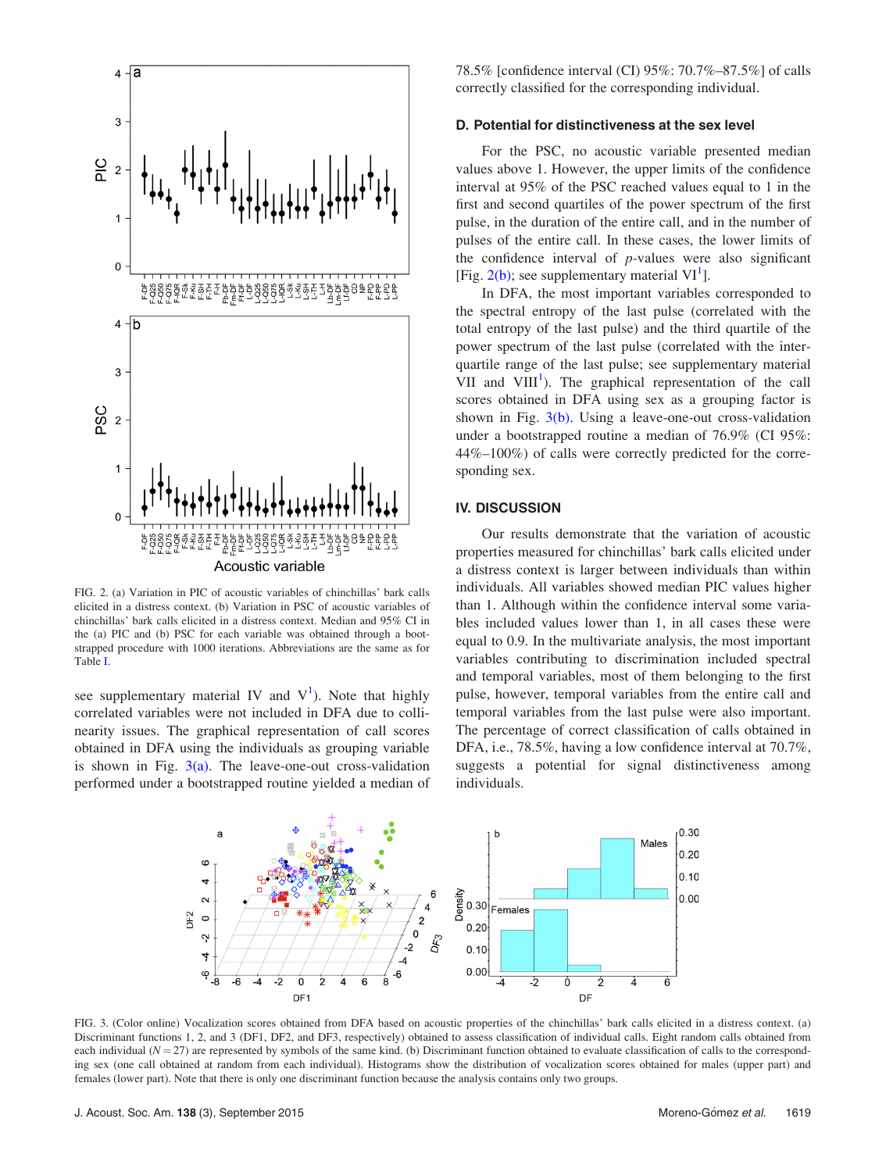<span id="page-6-0"></span>

FIG. 2. (a) Variation in PIC of acoustic variables of chinchillas' bark calls elicited in a distress context. (b) Variation in PSC of acoustic variables of chinchillas' bark calls elicited in a distress context. Median and 95% CI in the (a) PIC and (b) PSC for each variable was obtained through a bootstrapped procedure with 1000 iterations. Abbreviations are the same as for Table [I](#page-5-0).

see supplementary material IV and  $V^1$  $V^1$ ). Note that highly correlated variables were not included in DFA due to collinearity issues. The graphical representation of call scores obtained in DFA using the individuals as grouping variable is shown in Fig.  $3(a)$ . The leave-one-out cross-validation performed under a bootstrapped routine yielded a median of 78.5% [confidence interval (CI) 95%: 70.7%–87.5%] of calls correctly classified for the corresponding individual.

### D. Potential for distinctiveness at the sex level

For the PSC, no acoustic variable presented median values above 1. However, the upper limits of the confidence interval at 95% of the PSC reached values equal to 1 in the first and second quartiles of the power spectrum of the first pulse, in the duration of the entire call, and in the number of pulses of the entire call. In these cases, the lower limits of the confidence interval of  $p$ -values were also significant [Fig.  $2(b)$ ; see supplementary material VI<sup>[1](#page-8-0)</sup>].

In DFA, the most important variables corresponded to the spectral entropy of the last pulse (correlated with the total entropy of the last pulse) and the third quartile of the power spectrum of the last pulse (correlated with the interquartile range of the last pulse; see supplementary material VII and  $VIII<sup>1</sup>$  $VIII<sup>1</sup>$  $VIII<sup>1</sup>$ ). The graphical representation of the call scores obtained in DFA using sex as a grouping factor is shown in Fig.  $3(b)$ . Using a leave-one-out cross-validation under a bootstrapped routine a median of 76.9% (CI 95%: 44%–100%) of calls were correctly predicted for the corresponding sex.

# IV. DISCUSSION

Our results demonstrate that the variation of acoustic properties measured for chinchillas' bark calls elicited under a distress context is larger between individuals than within individuals. All variables showed median PIC values higher than 1. Although within the confidence interval some variables included values lower than 1, in all cases these were equal to 0.9. In the multivariate analysis, the most important variables contributing to discrimination included spectral and temporal variables, most of them belonging to the first pulse, however, temporal variables from the entire call and temporal variables from the last pulse were also important. The percentage of correct classification of calls obtained in DFA, i.e., 78.5%, having a low confidence interval at 70.7%, suggests a potential for signal distinctiveness among individuals.



FIG. 3. (Color online) Vocalization scores obtained from DFA based on acoustic properties of the chinchillas' bark calls elicited in a distress context. (a) Discriminant functions 1, 2, and 3 (DF1, DF2, and DF3, respectively) obtained to assess classification of individual calls. Eight random calls obtained from each individual  $(N = 27)$  are represented by symbols of the same kind. (b) Discriminant function obtained to evaluate classification of calls to the corresponding sex (one call obtained at random from each individual). Histograms show the distribution of vocalization scores obtained for males (upper part) and females (lower part). Note that there is only one discriminant function because the analysis contains only two groups.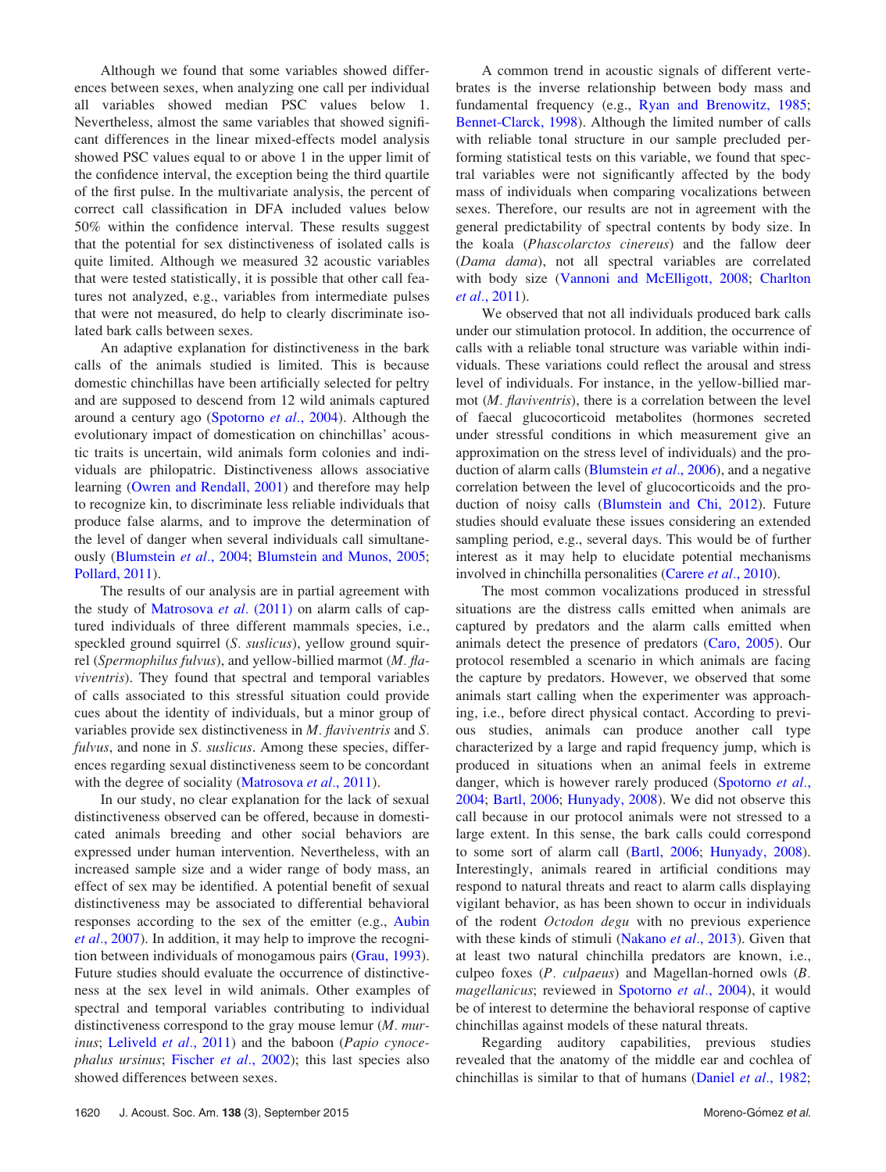Although we found that some variables showed differences between sexes, when analyzing one call per individual all variables showed median PSC values below 1. Nevertheless, almost the same variables that showed significant differences in the linear mixed-effects model analysis showed PSC values equal to or above 1 in the upper limit of the confidence interval, the exception being the third quartile of the first pulse. In the multivariate analysis, the percent of correct call classification in DFA included values below 50% within the confidence interval. These results suggest that the potential for sex distinctiveness of isolated calls is quite limited. Although we measured 32 acoustic variables that were tested statistically, it is possible that other call features not analyzed, e.g., variables from intermediate pulses that were not measured, do help to clearly discriminate isolated bark calls between sexes.

An adaptive explanation for distinctiveness in the bark calls of the animals studied is limited. This is because domestic chinchillas have been artificially selected for peltry and are supposed to descend from 12 wild animals captured around a century ago [\(Spotorno](#page-9-0) et al., 2004). Although the evolutionary impact of domestication on chinchillas' acoustic traits is uncertain, wild animals form colonies and individuals are philopatric. Distinctiveness allows associative learning ([Owren and Rendall, 2001\)](#page-9-0) and therefore may help to recognize kin, to discriminate less reliable individuals that produce false alarms, and to improve the determination of the level of danger when several individuals call simultaneously ([Blumstein](#page-8-0) et al., 2004; [Blumstein and Munos, 2005](#page-8-0); [Pollard, 2011\)](#page-9-0).

The results of our analysis are in partial agreement with the study of [Matrosova](#page-9-0) et al. (2011) on alarm calls of captured individuals of three different mammals species, i.e., speckled ground squirrel (S. suslicus), yellow ground squirrel (Spermophilus fulvus), and yellow-billied marmot (M. flaviventris). They found that spectral and temporal variables of calls associated to this stressful situation could provide cues about the identity of individuals, but a minor group of variables provide sex distinctiveness in M. flaviventris and S. fulvus, and none in S. suslicus. Among these species, differences regarding sexual distinctiveness seem to be concordant with the degree of sociality ([Matrosova](#page-9-0) et al., 2011).

In our study, no clear explanation for the lack of sexual distinctiveness observed can be offered, because in domesticated animals breeding and other social behaviors are expressed under human intervention. Nevertheless, with an increased sample size and a wider range of body mass, an effect of sex may be identified. A potential benefit of sexual distinctiveness may be associated to differential behavioral responses according to the sex of the emitter (e.g., [Aubin](#page-8-0) et al.[, 2007\)](#page-8-0). In addition, it may help to improve the recognition between individuals of monogamous pairs [\(Grau, 1993](#page-9-0)). Future studies should evaluate the occurrence of distinctiveness at the sex level in wild animals. Other examples of spectral and temporal variables contributing to individual distinctiveness correspond to the gray mouse lemur (M. mur-inus; [Leliveld](#page-9-0) et al., 2011) and the baboon (Papio cynoce-phalus ursinus; [Fischer](#page-9-0) et al., 2002); this last species also showed differences between sexes.

A common trend in acoustic signals of different vertebrates is the inverse relationship between body mass and fundamental frequency (e.g., [Ryan and Brenowitz, 1985;](#page-9-0) [Bennet-Clarck, 1998](#page-8-0)). Although the limited number of calls with reliable tonal structure in our sample precluded performing statistical tests on this variable, we found that spectral variables were not significantly affected by the body mass of individuals when comparing vocalizations between sexes. Therefore, our results are not in agreement with the general predictability of spectral contents by body size. In the koala (Phascolarctos cinereus) and the fallow deer (Dama dama), not all spectral variables are correlated with body size [\(Vannoni and McElligott, 2008](#page-9-0); [Charlton](#page-8-0) et al.[, 2011](#page-8-0)).

We observed that not all individuals produced bark calls under our stimulation protocol. In addition, the occurrence of calls with a reliable tonal structure was variable within individuals. These variations could reflect the arousal and stress level of individuals. For instance, in the yellow-billied marmot (M. flaviventris), there is a correlation between the level of faecal glucocorticoid metabolites (hormones secreted under stressful conditions in which measurement give an approximation on the stress level of individuals) and the production of alarm calls [\(Blumstein](#page-8-0) et al., 2006), and a negative correlation between the level of glucocorticoids and the production of noisy calls [\(Blumstein and Chi, 2012\)](#page-8-0). Future studies should evaluate these issues considering an extended sampling period, e.g., several days. This would be of further interest as it may help to elucidate potential mechanisms involved in chinchilla personalities [\(Carere](#page-8-0) et al., 2010).

The most common vocalizations produced in stressful situations are the distress calls emitted when animals are captured by predators and the alarm calls emitted when animals detect the presence of predators ([Caro, 2005](#page-8-0)). Our protocol resembled a scenario in which animals are facing the capture by predators. However, we observed that some animals start calling when the experimenter was approaching, i.e., before direct physical contact. According to previous studies, animals can produce another call type characterized by a large and rapid frequency jump, which is produced in situations when an animal feels in extreme danger, which is however rarely produced [\(Spotorno](#page-9-0) et al., [2004;](#page-9-0) [Bartl, 2006](#page-8-0); [Hunyady, 2008](#page-9-0)). We did not observe this call because in our protocol animals were not stressed to a large extent. In this sense, the bark calls could correspond to some sort of alarm call [\(Bartl, 2006](#page-8-0); [Hunyady, 2008\)](#page-9-0). Interestingly, animals reared in artificial conditions may respond to natural threats and react to alarm calls displaying vigilant behavior, as has been shown to occur in individuals of the rodent Octodon degu with no previous experience with these kinds of stimuli [\(Nakano](#page-9-0) et al., 2013). Given that at least two natural chinchilla predators are known, i.e., culpeo foxes (P. culpaeus) and Magellan-horned owls (B. magellanicus; reviewed in [Spotorno](#page-9-0) et al., 2004), it would be of interest to determine the behavioral response of captive chinchillas against models of these natural threats.

Regarding auditory capabilities, previous studies revealed that the anatomy of the middle ear and cochlea of chinchillas is similar to that of humans [\(Daniel](#page-8-0) et al., 1982;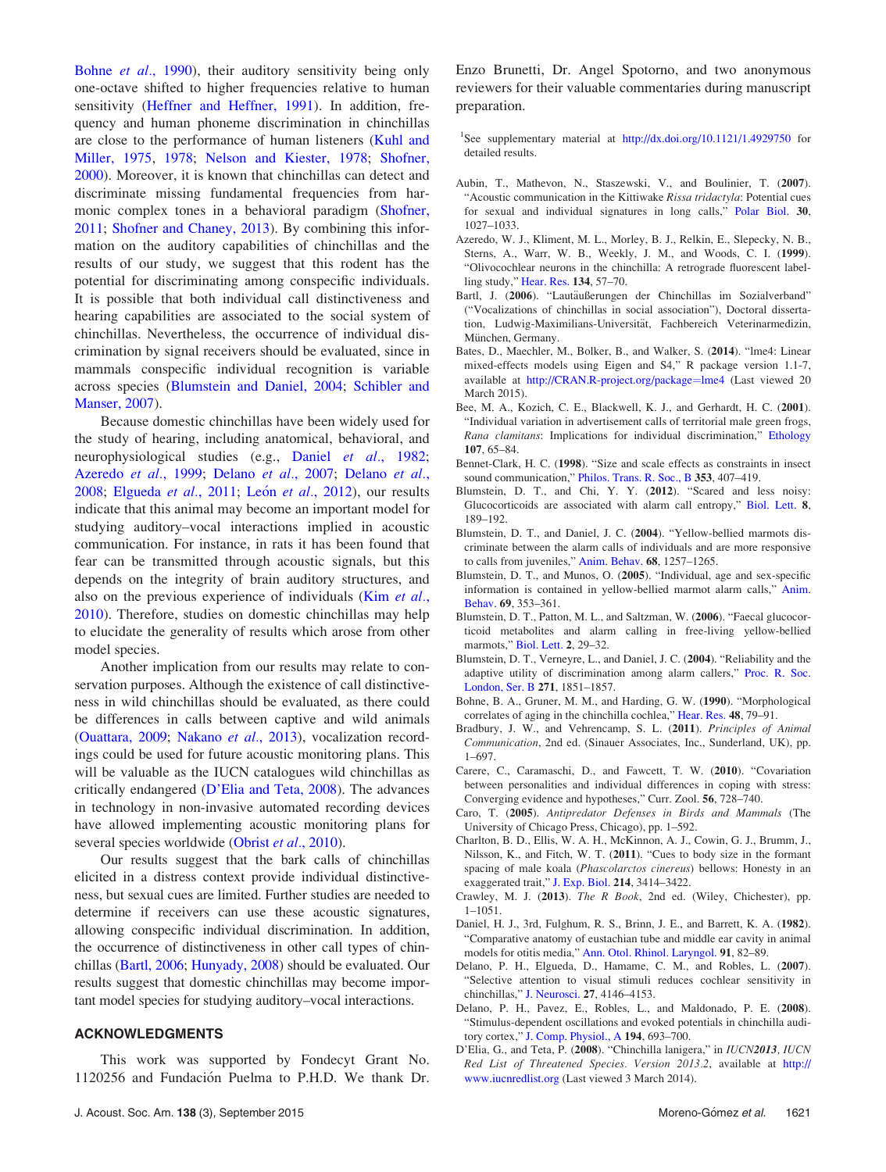<span id="page-8-0"></span>Bohne et al., 1990), their auditory sensitivity being only one-octave shifted to higher frequencies relative to human sensitivity [\(Heffner and Heffner, 1991\)](#page-9-0). In addition, frequency and human phoneme discrimination in chinchillas are close to the performance of human listeners ([Kuhl and](#page-9-0) [Miller, 1975](#page-9-0), [1978](#page-9-0); [Nelson and Kiester, 1978](#page-9-0); [Shofner,](#page-9-0) [2000\)](#page-9-0). Moreover, it is known that chinchillas can detect and discriminate missing fundamental frequencies from harmonic complex tones in a behavioral paradigm ([Shofner,](#page-9-0) [2011;](#page-9-0) [Shofner and Chaney, 2013](#page-9-0)). By combining this information on the auditory capabilities of chinchillas and the results of our study, we suggest that this rodent has the potential for discriminating among conspecific individuals. It is possible that both individual call distinctiveness and hearing capabilities are associated to the social system of chinchillas. Nevertheless, the occurrence of individual discrimination by signal receivers should be evaluated, since in mammals conspecific individual recognition is variable across species (Blumstein and Daniel, 2004; [Schibler and](#page-9-0) [Manser, 2007\)](#page-9-0).

Because domestic chinchillas have been widely used for the study of hearing, including anatomical, behavioral, and neurophysiological studies (e.g., Daniel et al., 1982; Azeredo et al., 1999; Delano et al., 2007; Delano et al., 2008; [Elgueda](#page-9-0) et al., 2011; [Le](#page-9-0)ón et al.[, 2012](#page-9-0)), our results indicate that this animal may become an important model for studying auditory–vocal interactions implied in acoustic communication. For instance, in rats it has been found that fear can be transmitted through acoustic signals, but this depends on the integrity of brain auditory structures, and also on the previous experience of individuals (Kim [et al.](#page-9-0), [2010\)](#page-9-0). Therefore, studies on domestic chinchillas may help to elucidate the generality of results which arose from other model species.

Another implication from our results may relate to conservation purposes. Although the existence of call distinctiveness in wild chinchillas should be evaluated, as there could be differences in calls between captive and wild animals ([Ouattara, 2009](#page-9-0); [Nakano](#page-9-0) et al., 2013), vocalization recordings could be used for future acoustic monitoring plans. This will be valuable as the IUCN catalogues wild chinchillas as critically endangered (D'Elia and Teta, 2008). The advances in technology in non-invasive automated recording devices have allowed implementing acoustic monitoring plans for several species worldwide [\(Obrist](#page-9-0) *et al.*, 2010).

Our results suggest that the bark calls of chinchillas elicited in a distress context provide individual distinctiveness, but sexual cues are limited. Further studies are needed to determine if receivers can use these acoustic signatures, allowing conspecific individual discrimination. In addition, the occurrence of distinctiveness in other call types of chinchillas (Bartl, 2006; [Hunyady, 2008\)](#page-9-0) should be evaluated. Our results suggest that domestic chinchillas may become important model species for studying auditory–vocal interactions.

#### ACKNOWLEDGMENTS

This work was supported by Fondecyt Grant No. 1120256 and Fundación Puelma to P.H.D. We thank Dr.

Enzo Brunetti, Dr. Angel Spotorno, and two anonymous reviewers for their valuable commentaries during manuscript preparation.

<sup>1</sup>See supplementary material at <http://dx.doi.org/10.1121/1.4929750> for detailed results.

- Aubin, T., Mathevon, N., Staszewski, V., and Boulinier, T. (2007). "Acoustic communication in the Kittiwake Rissa tridactyla: Potential cues for sexual and individual signatures in long calls," [Polar Biol.](http://dx.doi.org/10.1007/s00300-007-0262-6) 30, 1027–1033.
- Azeredo, W. J., Kliment, M. L., Morley, B. J., Relkin, E., Slepecky, N. B., Sterns, A., Warr, W. B., Weekly, J. M., and Woods, C. I. (1999). "Olivocochlear neurons in the chinchilla: A retrograde fluorescent labelling study," [Hear. Res.](http://dx.doi.org/10.1016/S0378-5955(99)00069-6) 134, 57–70.
- Bartl, J. (2006). "Lautäußerungen der Chinchillas im Sozialverband" ("Vocalizations of chinchillas in social association"), Doctoral dissertation, Ludwig-Maximilians-Universität, Fachbereich Veterinarmedizin, München, Germany.
- Bates, D., Maechler, M., Bolker, B., and Walker, S. (2014). "lme4: Linear mixed-effects models using Eigen and S4," R package version 1.1-7, available at [http://CRAN.R-project.org/package](http://CRAN.R-project.org/package=lme4)=[lme4](http://CRAN.R-project.org/package=lme4) (Last viewed 20 March 2015).
- Bee, M. A., Kozich, C. E., Blackwell, K. J., and Gerhardt, H. C. (2001). "Individual variation in advertisement calls of territorial male green frogs, Rana clamitans: Implications for individual discrimination," [Ethology](http://dx.doi.org/10.1046/j.1439-0310.2001.00640.x) 107, 65–84.
- Bennet-Clark, H. C. (1998). "Size and scale effects as constraints in insect sound communication," [Philos. Trans. R. Soc., B](http://dx.doi.org/10.1098/rstb.1998.0219) 353, 407–419.
- Blumstein, D. T., and Chi, Y. Y. (2012). "Scared and less noisy: Glucocorticoids are associated with alarm call entropy," [Biol. Lett.](http://dx.doi.org/10.1098/rsbl.2011.0832) 8, 189–192.
- Blumstein, D. T., and Daniel, J. C. (2004). "Yellow-bellied marmots discriminate between the alarm calls of individuals and are more responsive to calls from juveniles," [Anim. Behav.](http://dx.doi.org/10.1016/j.anbehav.2003.12.024) 68, 1257–1265.
- Blumstein, D. T., and Munos, O. (2005). "Individual, age and sex-specific information is contained in yellow-bellied marmot alarm calls," [Anim.](http://dx.doi.org/10.1016/j.anbehav.2004.10.001) [Behav.](http://dx.doi.org/10.1016/j.anbehav.2004.10.001) 69, 353–361.
- Blumstein, D. T., Patton, M. L., and Saltzman, W. (2006). "Faecal glucocorticoid metabolites and alarm calling in free-living yellow-bellied marmots," [Biol. Lett.](http://dx.doi.org/10.1098/rsbl.2005.0405) 2, 29–32.
- Blumstein, D. T., Verneyre, L., and Daniel, J. C. (2004). "Reliability and the adaptive utility of discrimination among alarm callers," [Proc. R. Soc.](http://dx.doi.org/10.1098/rspb.2004.2808) [London, Ser. B](http://dx.doi.org/10.1098/rspb.2004.2808) 271, 1851–1857.
- Bohne, B. A., Gruner, M. M., and Harding, G. W. (1990). "Morphological correlates of aging in the chinchilla cochlea," [Hear. Res.](http://dx.doi.org/10.1016/0378-5955(90)90200-9) 48, 79–91.
- Bradbury, J. W., and Vehrencamp, S. L. (2011). Principles of Animal Communication, 2nd ed. (Sinauer Associates, Inc., Sunderland, UK), pp. 1–697.
- Carere, C., Caramaschi, D., and Fawcett, T. W. (2010). "Covariation between personalities and individual differences in coping with stress: Converging evidence and hypotheses," Curr. Zool. 56, 728–740.
- Caro, T. (2005). Antipredator Defenses in Birds and Mammals (The University of Chicago Press, Chicago), pp. 1–592.
- Charlton, B. D., Ellis, W. A. H., McKinnon, A. J., Cowin, G. J., Brumm, J., Nilsson, K., and Fitch, W. T. (2011). "Cues to body size in the formant spacing of male koala (Phascolarctos cinereus) bellows: Honesty in an exaggerated trait," [J. Exp. Biol.](http://dx.doi.org/10.1242/jeb.061358) 214, 3414–3422.
- Crawley, M. J. (2013). The R Book, 2nd ed. (Wiley, Chichester), pp. 1–1051.
- Daniel, H. J., 3rd, Fulghum, R. S., Brinn, J. E., and Barrett, K. A. (1982). "Comparative anatomy of eustachian tube and middle ear cavity in animal models for otitis media," [Ann. Otol. Rhinol. Laryngol.](http://dx.doi.org/10.1177/000348948209100118) 91, 82–89.
- Delano, P. H., Elgueda, D., Hamame, C. M., and Robles, L. (2007). "Selective attention to visual stimuli reduces cochlear sensitivity in chinchillas," [J. Neurosci.](http://dx.doi.org/10.1523/JNEUROSCI.3702-06.2007) 27, 4146–4153.
- Delano, P. H., Pavez, E., Robles, L., and Maldonado, P. E. (2008). "Stimulus-dependent oscillations and evoked potentials in chinchilla auditory cortex," [J. Comp. Physiol., A](http://dx.doi.org/10.1007/s00359-008-0340-4) 194, 693–700.
- D'Elia, G., and Teta, P. (2008). "Chinchilla lanigera," in IUCN2013, IUCN Red List of Threatened Species. Version 2013.2, available at [http://](http://www.iucnredlist.org) [www.iucnredlist.org](http://www.iucnredlist.org) (Last viewed 3 March 2014).